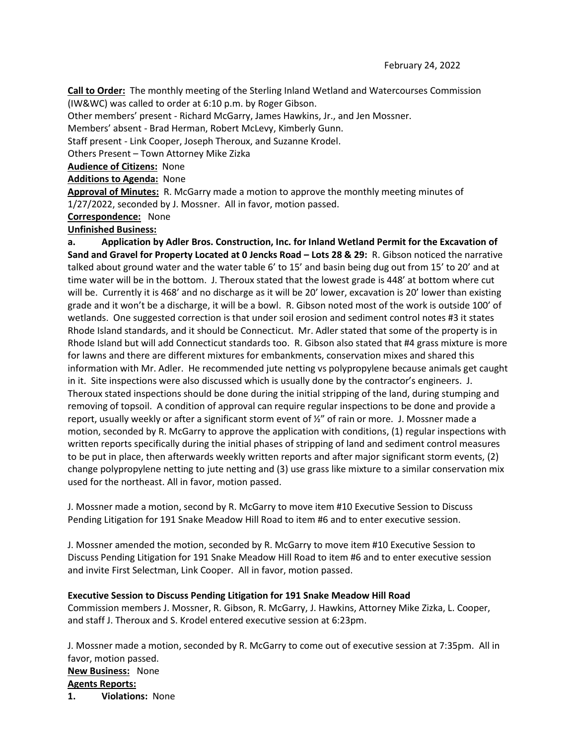**Call to Order:** The monthly meeting of the Sterling Inland Wetland and Watercourses Commission (IW&WC) was called to order at 6:10 p.m. by Roger Gibson.

Other members' present - Richard McGarry, James Hawkins, Jr., and Jen Mossner.

Members' absent - Brad Herman, Robert McLevy, Kimberly Gunn.

Staff present - Link Cooper, Joseph Theroux, and Suzanne Krodel.

Others Present – Town Attorney Mike Zizka

**Audience of Citizens:** None

**Additions to Agenda:** None

**Approval of Minutes:** R. McGarry made a motion to approve the monthly meeting minutes of 1/27/2022, seconded by J. Mossner. All in favor, motion passed.

**Correspondence:** None

## **Unfinished Business:**

**a. Application by Adler Bros. Construction, Inc. for Inland Wetland Permit for the Excavation of Sand and Gravel for Property Located at 0 Jencks Road – Lots 28 & 29:** R. Gibson noticed the narrative talked about ground water and the water table 6' to 15' and basin being dug out from 15' to 20' and at time water will be in the bottom. J. Theroux stated that the lowest grade is 448' at bottom where cut will be. Currently it is 468' and no discharge as it will be 20' lower, excavation is 20' lower than existing grade and it won't be a discharge, it will be a bowl. R. Gibson noted most of the work is outside 100' of wetlands. One suggested correction is that under soil erosion and sediment control notes #3 it states Rhode Island standards, and it should be Connecticut. Mr. Adler stated that some of the property is in Rhode Island but will add Connecticut standards too. R. Gibson also stated that #4 grass mixture is more for lawns and there are different mixtures for embankments, conservation mixes and shared this information with Mr. Adler. He recommended jute netting vs polypropylene because animals get caught in it. Site inspections were also discussed which is usually done by the contractor's engineers. J. Theroux stated inspections should be done during the initial stripping of the land, during stumping and removing of topsoil. A condition of approval can require regular inspections to be done and provide a report, usually weekly or after a significant storm event of  $\frac{y}{z}$  of rain or more. J. Mossner made a motion, seconded by R. McGarry to approve the application with conditions, (1) regular inspections with written reports specifically during the initial phases of stripping of land and sediment control measures to be put in place, then afterwards weekly written reports and after major significant storm events, (2) change polypropylene netting to jute netting and (3) use grass like mixture to a similar conservation mix used for the northeast. All in favor, motion passed.

J. Mossner made a motion, second by R. McGarry to move item #10 Executive Session to Discuss Pending Litigation for 191 Snake Meadow Hill Road to item #6 and to enter executive session.

J. Mossner amended the motion, seconded by R. McGarry to move item #10 Executive Session to Discuss Pending Litigation for 191 Snake Meadow Hill Road to item #6 and to enter executive session and invite First Selectman, Link Cooper. All in favor, motion passed.

## **Executive Session to Discuss Pending Litigation for 191 Snake Meadow Hill Road**

Commission members J. Mossner, R. Gibson, R. McGarry, J. Hawkins, Attorney Mike Zizka, L. Cooper, and staff J. Theroux and S. Krodel entered executive session at 6:23pm.

J. Mossner made a motion, seconded by R. McGarry to come out of executive session at 7:35pm. All in favor, motion passed. **New Business:** None **Agents Reports: 1. Violations:** None